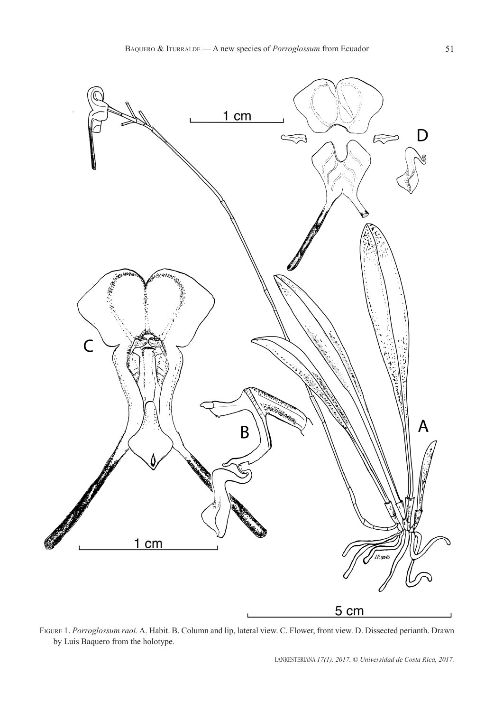

Figure 1. *Porroglossum raoi.* A. Habit. B. Column and lip, lateral view. C. Flower, front view. D. Dissected perianth. Drawn by Luis Baquero from the holotype.